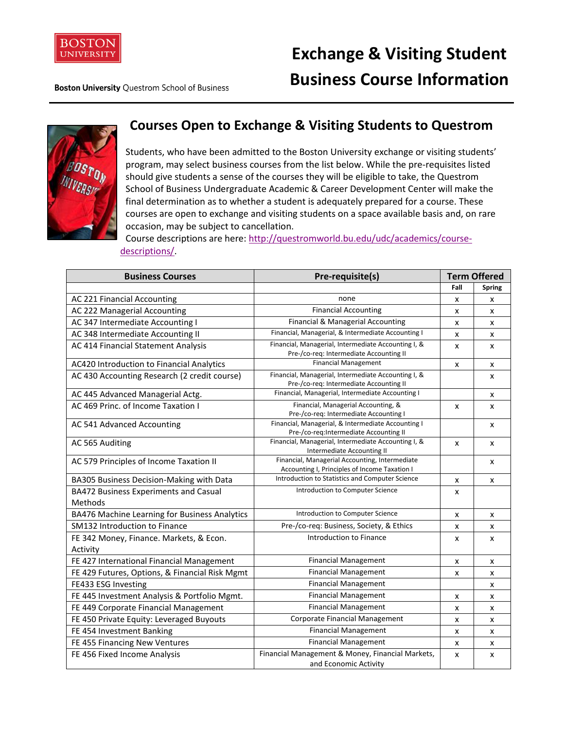

**Exchange & Visiting Student Business Course Information**

**Boston University Questrom School of Business** 



## **Courses Open to Exchange & Visiting Students to Questrom**

Students, who have been admitted to the Boston University exchange or visiting students' program, may select business courses from the list below. While the pre-requisites listed should give students a sense of the courses they will be eligible to take, the Questrom School of Business Undergraduate Academic & Career Development Center will make the final determination as to whether a student is adequately prepared for a course. These courses are open to exchange and visiting students on a space available basis and, on rare occasion, may be subject to cancellation.

Course descriptions are here: [http://questromworld.bu.edu/udc/academics/course](http://questromworld.bu.edu/udc/academics/course-descriptions/)[descriptions/.](http://questromworld.bu.edu/udc/academics/course-descriptions/)

| <b>Business Courses</b>                             | Pre-requisite(s)                                                                                | <b>Term Offered</b> |               |
|-----------------------------------------------------|-------------------------------------------------------------------------------------------------|---------------------|---------------|
|                                                     |                                                                                                 | Fall                | <b>Spring</b> |
| AC 221 Financial Accounting                         | none                                                                                            | x                   | x             |
| AC 222 Managerial Accounting                        | <b>Financial Accounting</b>                                                                     | x                   | x             |
| AC 347 Intermediate Accounting I                    | Financial & Managerial Accounting                                                               | x                   | x             |
| AC 348 Intermediate Accounting II                   | Financial, Managerial, & Intermediate Accounting I                                              | x                   | x             |
| AC 414 Financial Statement Analysis                 | Financial, Managerial, Intermediate Accounting I, &<br>Pre-/co-req: Intermediate Accounting II  | X                   | x             |
| AC420 Introduction to Financial Analytics           | <b>Financial Management</b>                                                                     | x                   | x             |
| AC 430 Accounting Research (2 credit course)        | Financial, Managerial, Intermediate Accounting I, &<br>Pre-/co-req: Intermediate Accounting II  |                     | x             |
| AC 445 Advanced Managerial Actg.                    | Financial, Managerial, Intermediate Accounting I                                                |                     | x             |
| AC 469 Princ. of Income Taxation I                  | Financial, Managerial Accounting, &<br>Pre-/co-req: Intermediate Accounting I                   | x                   | x             |
| AC 541 Advanced Accounting                          | Financial, Managerial, & Intermediate Accounting I<br>Pre-/co-req:Intermediate Accounting II    |                     | x             |
| AC 565 Auditing                                     | Financial, Managerial, Intermediate Accounting I, &<br>Intermediate Accounting II               | x                   | x             |
| AC 579 Principles of Income Taxation II             | Financial, Managerial Accounting, Intermediate<br>Accounting I, Principles of Income Taxation I |                     | x             |
| BA305 Business Decision-Making with Data            | Introduction to Statistics and Computer Science                                                 | x                   | x             |
| BA472 Business Experiments and Casual<br>Methods    | Introduction to Computer Science                                                                | x                   |               |
| BA476 Machine Learning for Business Analytics       | Introduction to Computer Science                                                                | x                   | x             |
| <b>SM132 Introduction to Finance</b>                | Pre-/co-req: Business, Society, & Ethics                                                        | х                   | x             |
| FE 342 Money, Finance. Markets, & Econ.<br>Activity | <b>Introduction to Finance</b>                                                                  | x                   | x             |
| FE 427 International Financial Management           | <b>Financial Management</b>                                                                     | x                   | x             |
| FE 429 Futures, Options, & Financial Risk Mgmt      | <b>Financial Management</b>                                                                     | X                   | x             |
| FE433 ESG Investing                                 | <b>Financial Management</b>                                                                     |                     | X             |
| FE 445 Investment Analysis & Portfolio Mgmt.        | <b>Financial Management</b>                                                                     | x                   | x             |
| FE 449 Corporate Financial Management               | <b>Financial Management</b>                                                                     | x                   | x             |
| FE 450 Private Equity: Leveraged Buyouts            | Corporate Financial Management                                                                  | x                   | x             |
| FE 454 Investment Banking                           | <b>Financial Management</b>                                                                     | x                   | x             |
| FE 455 Financing New Ventures                       | <b>Financial Management</b>                                                                     | x                   | X             |
| FE 456 Fixed Income Analysis                        | Financial Management & Money, Financial Markets,<br>and Economic Activity                       | x                   | x             |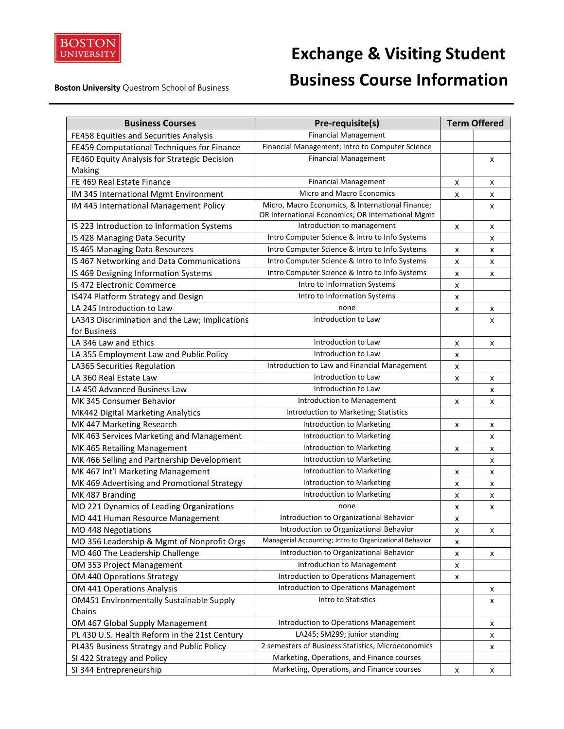

**Boston University Questrom School of Business** 

## **Exchange & Visiting Student Business Course Information**

| <b>Business Courses</b>                         | Pre-requisite(s)                                        |   | <b>Term Offered</b> |
|-------------------------------------------------|---------------------------------------------------------|---|---------------------|
| FE458 Equities and Securities Analysis          | <b>Financial Management</b>                             |   |                     |
| FE459 Computational Techniques for Finance      | Financial Management; Intro to Computer Science         |   |                     |
| FE460 Equity Analysis for Strategic Decision    | <b>Financial Management</b>                             |   | x                   |
| Making                                          |                                                         |   |                     |
| FE 469 Real Estate Finance                      | <b>Financial Management</b>                             | x | X                   |
| IM 345 International Mgmt Environment           | Micro and Macro Economics                               | x | x                   |
| IM 445 International Management Policy          | Micro, Macro Economics, & International Finance;        |   | x                   |
|                                                 | OR International Economics; OR International Mgmt       |   |                     |
| IS 223 Introduction to Information Systems      | Introduction to management                              | x | X                   |
| IS 428 Managing Data Security                   | Intro Computer Science & Intro to Info Systems          |   | x                   |
| IS 465 Managing Data Resources                  | Intro Computer Science & Intro to Info Systems          | x | X                   |
| IS 467 Networking and Data Communications       | Intro Computer Science & Intro to Info Systems          | x | x                   |
| IS 469 Designing Information Systems            | Intro Computer Science & Intro to Info Systems          | x | x                   |
| IS 472 Electronic Commerce                      | Intro to Information Systems                            | X |                     |
| IS474 Platform Strategy and Design              | Intro to Information Systems                            | x |                     |
| LA 245 Introduction to Law                      | none                                                    | x | x                   |
| LA343 Discrimination and the Law; Implications  | Introduction to Law                                     |   | x                   |
| for Business                                    |                                                         |   |                     |
| LA 346 Law and Ethics                           | Introduction to Law                                     | х | x                   |
| LA 355 Employment Law and Public Policy         | Introduction to Law                                     | x |                     |
| LA365 Securities Regulation                     | Introduction to Law and Financial Management            | x |                     |
| LA 360 Real Estate Law                          | Introduction to Law                                     | x | x                   |
| LA 450 Advanced Business Law                    | Introduction to Law                                     |   | x                   |
| MK 345 Consumer Behavior                        | Introduction to Management                              | x | x                   |
| MK442 Digital Marketing Analytics               | Introduction to Marketing; Statistics                   |   |                     |
| MK 447 Marketing Research                       | Introduction to Marketing                               | x | x                   |
| MK 463 Services Marketing and Management        | Introduction to Marketing                               |   | x                   |
| MK 465 Retailing Management                     | Introduction to Marketing                               | х | x                   |
| MK 466 Selling and Partnership Development      | Introduction to Marketing                               |   | x                   |
| MK 467 Int'l Marketing Management               | Introduction to Marketing                               | x | x                   |
| MK 469 Advertising and Promotional Strategy     | Introduction to Marketing                               | x | x                   |
| MK 487 Branding                                 | Introduction to Marketing                               | X | x                   |
| MO 221 Dynamics of Leading Organizations        | none                                                    | x | x                   |
| MO 441 Human Resource Management                | Introduction to Organizational Behavior                 | x |                     |
| MO 448 Negotiations                             | Introduction to Organizational Behavior                 | х | х                   |
| MO 356 Leadership & Mgmt of Nonprofit Orgs      | Managerial Accounting; Intro to Organizational Behavior | x |                     |
| MO 460 The Leadership Challenge                 | Introduction to Organizational Behavior                 | x | x                   |
| OM 353 Project Management                       | Introduction to Management                              | x |                     |
| OM 440 Operations Strategy                      | Introduction to Operations Management                   | x |                     |
| OM 441 Operations Analysis                      | Introduction to Operations Management                   |   | x                   |
| <b>OM451 Environmentally Sustainable Supply</b> | Intro to Statistics                                     |   | x                   |
| Chains                                          |                                                         |   |                     |
| OM 467 Global Supply Management                 | <b>Introduction to Operations Management</b>            |   | x                   |
| PL 430 U.S. Health Reform in the 21st Century   | LA245; SM299; junior standing                           |   | x                   |
| PL435 Business Strategy and Public Policy       | 2 semesters of Business Statistics, Microeconomics      |   | x                   |
| SI 422 Strategy and Policy                      | Marketing, Operations, and Finance courses              |   |                     |
| SI 344 Entrepreneurship                         | Marketing, Operations, and Finance courses              | x | x                   |